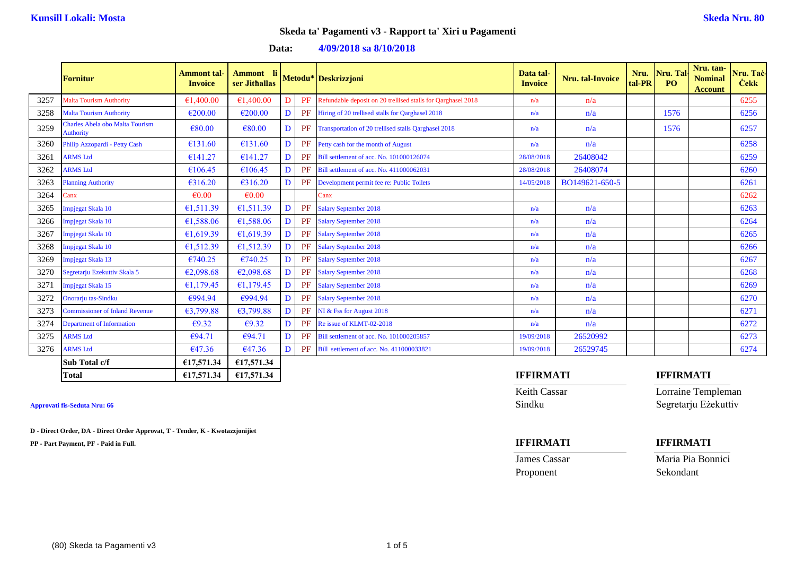**Data: 4/09/2018 sa 8/10/2018**

|      | <b>Fornitur</b>                                            | <b>Ammont tal-</b><br><b>Invoice</b> | Ammont li<br>ser Jithallas |   |    | Metodu* Deskrizzjoni                                         | Data tal-<br><b>Invoice</b> | Nru. tal-Invoice | Nru.<br>tal-PR | Nru. Tal<br>PO   | Nru. tan-<br><b>Nominal</b><br><b>Account</b> | Nru. Taċ-<br><b>Cekk</b> |
|------|------------------------------------------------------------|--------------------------------------|----------------------------|---|----|--------------------------------------------------------------|-----------------------------|------------------|----------------|------------------|-----------------------------------------------|--------------------------|
| 3257 | <b>Malta Tourism Authority</b>                             | €1,400.00                            | €1,400.00                  | D | PF | Refundable deposit on 20 trellised stalls for Oarghasel 2018 | n/a                         | n/a              |                |                  |                                               | 6255                     |
| 3258 | <b>Malta Tourism Authority</b>                             | €200.00                              | €200.00                    | D | PF | Hiring of 20 trellised stalls for Qarghasel 2018             | n/a                         | n/a              |                | 1576             |                                               | 6256                     |
| 3259 | <b>Charles Abela obo Malta Tourism</b><br><b>Authority</b> | €80.00                               | €80.00                     | D |    | PF Transportation of 20 trellised stalls Oarghasel 2018      | n/a                         | n/a              |                | 1576             |                                               | 6257                     |
| 3260 | Philip Azzopardi - Petty Cash                              | €131.60                              | €131.60                    | D | PF | Petty cash for the month of August                           | n/a                         | n/a              |                |                  |                                               | 6258                     |
| 3261 | <b>ARMS Ltd</b>                                            | €141.27                              | €141.27                    | D |    | Bill settlement of acc. No. 101000126074                     | 28/08/2018                  | 26408042         |                |                  |                                               | 6259                     |
| 3262 | <b>ARMS</b> Ltd                                            | €106.45                              | €106.45                    | D |    | Bill settlement of acc. No. 411000062031                     | 28/08/2018                  | 26408074         |                |                  |                                               | 6260                     |
| 3263 | <b>Planning Authority</b>                                  | €316.20                              | €316.20                    | D |    | Development permit fee re: Public Toilets                    | 14/05/2018                  | BO149621-650-5   |                |                  |                                               | 6261                     |
| 3264 | $\text{Can}x$                                              | $\epsilon$ 0.00                      | $\epsilon$ <sub>0.00</sub> |   |    | Canx                                                         |                             |                  |                |                  |                                               | 6262                     |
| 3265 | Impjegat Skala 10                                          | €1,511.39                            | €1,511.39                  | D | PF | <b>Salary September 2018</b>                                 | n/a                         | n/a              |                |                  |                                               | 6263                     |
| 3266 | Impjegat Skala 10                                          | €1,588.06                            | €1,588.06                  | D | PF | <b>Salary September 2018</b>                                 | n/a                         | n/a              |                |                  |                                               | 6264                     |
| 3267 | Impjegat Skala 10                                          | €1,619.39                            | €1,619.39                  | D | PF | <b>Salary September 2018</b>                                 | n/a                         | n/a              |                |                  |                                               | 6265                     |
| 3268 | Impjegat Skala 10                                          | €1,512.39                            | €1,512.39                  | D | PF | <b>Salary September 2018</b>                                 | n/a                         | n/a              |                |                  |                                               | 6266                     |
| 3269 | Impjegat Skala 13                                          | €740.25                              | €740.25                    | D | PF | <b>Salary September 2018</b>                                 | n/a                         | n/a              |                |                  |                                               | 6267                     |
| 3270 | Segretarju Ezekuttiv Skala 5                               | €2,098.68                            | €2,098.68                  | D | PF | <b>Salary September 2018</b>                                 | n/a                         | n/a              |                |                  |                                               | 6268                     |
| 3271 | Impjegat Skala 15                                          | €1,179.45                            | €1,179.45                  | D | PF | <b>Salary September 2018</b>                                 | n/a                         | n/a              |                |                  |                                               | 6269                     |
| 3272 | Onorarju tas-Sindku                                        | €994.94                              | €994.94                    | D | PF | <b>Salary September 2018</b>                                 | n/a                         | n/a              |                |                  |                                               | 6270                     |
| 3273 | <b>Commissioner of Inland Revenue</b>                      | €3,799.88                            | €3,799.88                  | D | PF | NI & Fss for August 2018                                     | n/a                         | n/a              |                |                  |                                               | 6271                     |
| 3274 | <b>Department of Information</b>                           | $\epsilon$ 9.32                      | $\epsilon$ 9.32            | D | PF | Re issue of KLMT-02-2018                                     | n/a                         | n/a              |                |                  |                                               | 6272                     |
| 3275 | <b>ARMS</b> Ltd                                            | €94.71                               | €94.71                     | D | PF | Bill settlement of acc. No. 101000205857                     | 19/09/2018                  | 26520992         |                |                  |                                               | 6273                     |
| 3276 | <b>ARMS Ltd</b>                                            | €47.36                               | €47.36                     | D |    | PF Bill settlement of acc. No. 411000033821                  | 19/09/2018                  | 26529745         |                |                  |                                               | 6274                     |
|      | Sub Total c/f                                              | €17,571.34                           | €17,571.34                 |   |    |                                                              |                             |                  |                |                  |                                               |                          |
|      | <b>Total</b>                                               | €17,571.34                           | €17,571.34                 |   |    |                                                              | <b>IFFIRMATI</b>            |                  |                | <b>IFFIRMATI</b> |                                               |                          |

**D - Direct Order, DA - Direct Order Approvat, T - Tender, K - Kwotazzjonijiet**

**PP - Part Payment, PF - Paid in Full. IFFIRMATI IFFIRMATI**

Keith Cassar **Lorraine Templeman Approvati fis-Seduta Nru: 66** Sindku Segretarju Eżekuttiv

Proponent Sekondant

**James Cassar Maria Pia Bonnici**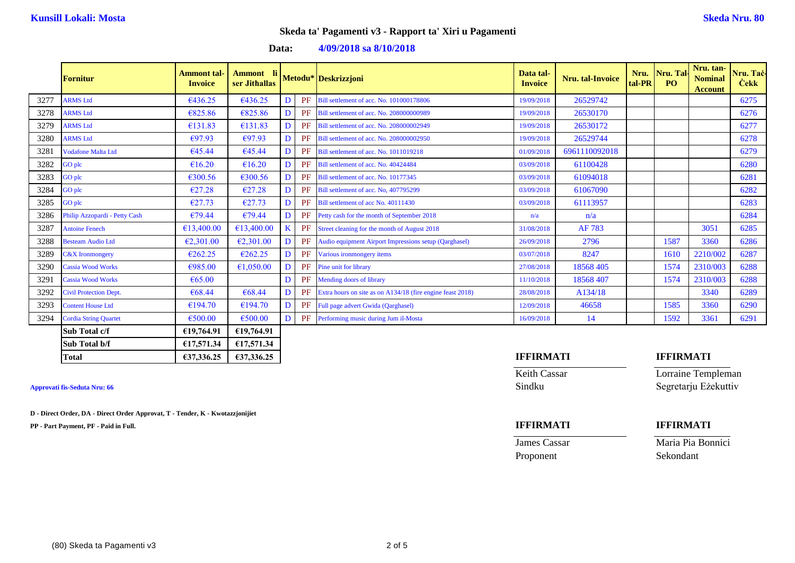**Data: 4/09/2018 sa 8/10/2018**

|      | <b>Fornitur</b>               | Ammont tal-<br><b>Invoice</b> | Ammont li<br>ser Jithallas |    | Metodu* Deskrizzjoni                                          | Data tal-<br><b>Invoice</b> | <b>Nru.</b> tal-Invoice | Nru.<br>tal-PR | Nru. Tal-<br><b>PO</b> | Nru. tan-<br><b>Nominal</b><br><b>Account</b> | Nru. Taċ-<br><b>Cekk</b> |
|------|-------------------------------|-------------------------------|----------------------------|----|---------------------------------------------------------------|-----------------------------|-------------------------|----------------|------------------------|-----------------------------------------------|--------------------------|
| 3277 | <b>ARMS</b> Ltd               | €436.25                       | €436.25                    | PF | Bill settlement of acc. No. 101000178806                      | 19/09/2018                  | 26529742                |                |                        |                                               | 6275                     |
| 3278 | <b>ARMS</b> Ltd               | €825.86                       | €825.86                    | PF | Bill settlement of acc. No. 208000000989                      | 19/09/2018                  | 26530170                |                |                        |                                               | 6276                     |
| 3279 | <b>ARMS</b> Ltd               | €131.83                       | €131.83                    | PF | Bill settlement of acc. No. 208000002949                      | 19/09/2018                  | 26530172                |                |                        |                                               | 6277                     |
| 3280 | <b>ARMS Ltd</b>               | €97.93                        | €97.93                     | PF | Bill settlement of acc. No. 208000002950                      | 19/09/2018                  | 26529744                |                |                        |                                               | 6278                     |
| 3281 | <b>Vodafone Malta Ltd</b>     | €45.44                        | €45.44                     | PF | Bill settlement of acc. No. 1011019218                        | 01/09/2018                  | 6961110092018           |                |                        |                                               | 6279                     |
| 3282 | GO plc                        | €16.20                        | €16.20                     | PF | Bill settlement of acc. No. 40424484                          | 03/09/2018                  | 61100428                |                |                        |                                               | 6280                     |
| 3283 | GO plc                        | €300.56                       | €300.56                    | PF | Bill settlement of acc. No. 10177345                          | 03/09/2018                  | 61094018                |                |                        |                                               | 6281                     |
| 3284 | GO plc                        | €27.28                        | €27.28                     | PF | Bill settlement of acc. No, 407795299                         | 03/09/2018                  | 61067090                |                |                        |                                               | 6282                     |
| 3285 | GO plc                        | €27.73                        | €27.73                     | PF | Bill settlement of acc No. 40111430                           | 03/09/2018                  | 61113957                |                |                        |                                               | 6283                     |
| 3286 | Philip Azzopardi - Petty Cash | €79.44                        | €79.44                     | PF | Petty cash for the month of September 2018                    | n/a                         | n/a                     |                |                        |                                               | 6284                     |
| 3287 | <b>Antoine Fenech</b>         | €13,400.00                    | €13,400.00                 |    | PF Street cleaning for the month of August 2018               | 31/08/2018                  | AF 783                  |                |                        | 3051                                          | 6285                     |
| 3288 | <b>Besteam Audio Ltd</b>      | €2,301.00                     | €2,301.00                  |    | PF Audio equipment Airport Impressions setup (Qarghasel)      | 26/09/2018                  | 2796                    |                | 1587                   | 3360                                          | 6286                     |
| 3289 | $C&X$ Ironmongery             | €262.25                       | €262.25                    | PF | Various ironmongery items                                     | 03/07/2018                  | 8247                    |                | 1610                   | 2210/002                                      | 6287                     |
| 3290 | <b>Cassia Wood Works</b>      | €985.00                       | €1,050.00                  |    | PF Pine unit for library                                      | 27/08/2018                  | 18568 405               |                | 1574                   | 2310/003                                      | 6288                     |
| 3291 | <b>Cassia Wood Works</b>      | € $65.00$                     |                            | PF | <b>Mending doors of library</b>                               | 11/10/2018                  | 18568 407               |                | 1574                   | 2310/003                                      | 6288                     |
| 3292 | <b>Civil Protection Dept.</b> | €68.44                        | €68.44                     |    | PF Extra hours on site as on A134/18 (fire engine feast 2018) | 28/08/2018                  | A134/18                 |                |                        | 3340                                          | 6289                     |
| 3293 | <b>Content House Ltd</b>      | €194.70                       | €194.70                    | PF | Full page advert Gwida (Qarghasel)                            | 12/09/2018                  | 46658                   |                | 1585                   | 3360                                          | 6290                     |
| 3294 | <b>Cordia String Quartet</b>  | €500.00                       | €500.00                    |    | PF Performing music during Jum il-Mosta                       | 16/09/2018                  | 14                      |                | 1592                   | 3361                                          | 6291                     |
|      | Sub Total c/f                 | £19,764.91                    | £19,764.91                 |    |                                                               |                             |                         |                |                        |                                               |                          |
|      | Sub Total b/f                 | £17,571.34                    | €17,571.34                 |    |                                                               |                             |                         |                |                        |                                               |                          |

| Approvati fis-Seduta Nru: 66 |  |
|------------------------------|--|
|                              |  |

**D - Direct Order, DA - Direct Order Approvat, T - Tender, K - Kwotazzjonijiet**

**PP - Part Payment, PF - Paid in Full. IFFIRMATI IFFIRMATI**

# **Total €37,336.25 €37,336.25 IFFIRMATI IFFIRMATI**

Keith Cassar **Lorraine Templeman Approvati fis-Seduta Nru: 66** Sindku Segretarju Eżekuttiv

Proponent

**James Cassar Maria Pia Bonnici**<br>Proponent Sekondant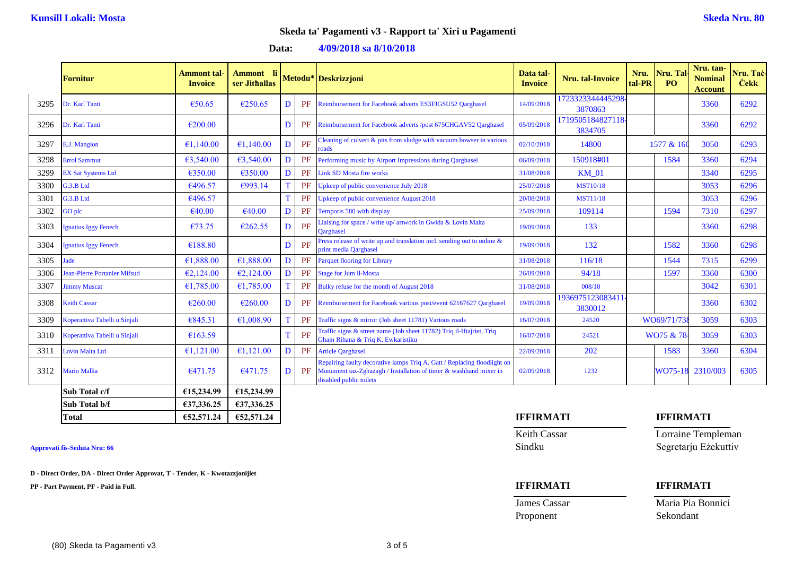**Data: 4/09/2018 sa 8/10/2018**

|      | Fornitur                            | <b>Ammont tal-</b><br><b>Invoice</b> | Ammont li<br>ser Jithallas |   |           | Metodu* Deskrizzjoni                                                                                                                                                     | Data tal-<br><b>Invoice</b> | Nru. tal-Invoice            | Nru.<br>tal-PR | Nru. Tal<br><b>PO</b> | Nru. tan-<br><b>Nominal</b><br><b>Account</b> | Nru. Tač<br><b>Cekk</b> |
|------|-------------------------------------|--------------------------------------|----------------------------|---|-----------|--------------------------------------------------------------------------------------------------------------------------------------------------------------------------|-----------------------------|-----------------------------|----------------|-----------------------|-----------------------------------------------|-------------------------|
| 3295 | Dr. Karl Tanti                      | €50.65                               | €250.65                    |   | PF        | Reimbursement for Facebook adverts ES3FJGSU52 Qarghasel                                                                                                                  | 14/09/2018                  | 723323344445298<br>3870863  |                |                       | 3360                                          | 6292                    |
| 3296 | Dr. Karl Tanti                      | €200.00                              |                            | D |           | PF Reimbursement for Facebook adverts /post 675CHGAV52 Qarghasel                                                                                                         | 05/09/2018                  | 1719505184827118<br>3834705 |                |                       | 3360                                          | 6292                    |
| 3297 | E.J. Mangion                        | €1,140.00                            | €1,140.00                  | D | PF        | Cleaning of culvert $\&$ pits from sludge with vacuum bowser in various<br>roads                                                                                         | 02/10/2018                  | 14800                       |                | 1577 & 160            | 3050                                          | 6293                    |
| 3298 | <b>Errol Sammut</b>                 | €3,540.00                            | €3,540.00                  | D | PF        | Performing music by Airport Impressions during Qarghasel                                                                                                                 | 06/09/2018                  | 150918#01                   |                | 1584                  | 3360                                          | 6294                    |
| 3299 | <b>EX Sat Systems Ltd</b>           | €350.00                              | €350.00                    |   | PF        | <b>Link SD Mosta fire works</b>                                                                                                                                          | 31/08/2018                  | <b>KM 01</b>                |                |                       | 3340                                          | 6295                    |
| 3300 | G.3.B Ltd                           | €496.57                              | €993.14                    |   | PF        | Upkeep of public convenience July 2018                                                                                                                                   | 25/07/2018                  | <b>MST10/18</b>             |                |                       | 3053                                          | 6296                    |
| 3301 | G.3.B Ltd                           | €496.57                              |                            |   | PF        | Upkeep of public convenience August 2018                                                                                                                                 | 20/08/2018                  | <b>MST11/18</b>             |                |                       | 3053                                          | 6296                    |
| 3302 | GO plc                              | €40.00                               | €40.00                     | D | PF        | Temporis 580 with display                                                                                                                                                | 25/09/2018                  | 109114                      |                | 1594                  | 7310                                          | 6297                    |
| 3303 | <b>Ignatius Iggy Fenech</b>         | €73.75                               | €262.55                    |   | PF        | Liaising for space / write up/ artwork in Gwida & Lovin Malta<br>Oarghasel                                                                                               | 19/09/2018                  | 133                         |                |                       | 3360                                          | 6298                    |
| 3304 | <b>Ignatius Iggy Fenech</b>         | €188.80                              |                            |   | PF        | Press release of write up and translation incl. sending out to online $\&$<br>print media Qarghasel                                                                      | 19/09/2018                  | 132                         |                | 1582                  | 3360                                          | 6298                    |
| 3305 | Jade                                | €1,888.00                            | €1,888.00                  | D | PF        | <b>Parquet flooring for Library</b>                                                                                                                                      | 31/08/2018                  | 116/18                      |                | 1544                  | 7315                                          | 6299                    |
| 3306 | <b>Jean-Pierre Portanier Mifsud</b> | €2,124.00                            | €2,124.00                  |   | PF        | <b>Stage for Jum il-Mosta</b>                                                                                                                                            | 26/09/2018                  | 94/18                       |                | 1597                  | 3360                                          | 6300                    |
| 3307 | <b>Jimmy Muscat</b>                 | €1,785.00                            | €1,785.00                  |   | <b>PF</b> | Bulky refuse for the month of August 2018                                                                                                                                | 31/08/2018                  | 008/18                      |                |                       | 3042                                          | 6301                    |
| 3308 | <b>Keith Cassar</b>                 | €260.00                              | €260.00                    |   | PF        | Reimbursement for Facebook various post/event 62167627 Qarghasel                                                                                                         | 19/09/2018                  | 193697512308341<br>3830012  |                |                       | 3360                                          | 6302                    |
| 3309 | Koperattiva Tabelli u Sinjali       | €845.31                              | €1,008.90                  |   | PF        | Traffic signs & mirror (Job sheet 11781) Various roads                                                                                                                   | 16/07/2018                  | 24520                       |                | WO69/71/73            | 3059                                          | 6303                    |
| 3310 | Koperattiva Tabelli u Sinjali       | €163.59                              |                            |   | PF        | Traffic signs & street name (Job sheet 11782) Triq il-Htajriet, Triq<br>Ghajn Rihana & Triq K. Ewkaristiku                                                               | 16/07/2018                  | 24521                       |                | WO75 & 78             | 3059                                          | 6303                    |
| 3311 | <b>Lovin Malta Ltd</b>              | €1,121.00                            | €1,121.00                  | D | PF        | <b>Article Qarghasel</b>                                                                                                                                                 | 22/09/2018                  | 202                         |                | 1583                  | 3360                                          | 6304                    |
| 3312 | <b>Mario Mallia</b>                 | €471.75                              | €471.75                    |   | PF        | Repairing faulty decorative lamps Triq A. Gatt / Replacing floodlight on<br>Monument taz-Zghazagh / Installation of timer & washhand mixer in<br>disabled public toilets | 02/09/2018                  | 1232                        |                | WO75-1                | 2310/003                                      | 6305                    |
|      | Sub Total c/f                       | £15,234.99                           | €15,234.99                 |   |           |                                                                                                                                                                          |                             |                             |                |                       |                                               |                         |
|      | Sub Total b/f                       | €37,336.25                           | €37,336.25                 |   |           |                                                                                                                                                                          |                             |                             |                |                       |                                               |                         |

**D - Direct Order, DA - Direct Order Approvat, T - Tender, K - Kwotazzjonijiet**

**PP - Part Payment, PF - Paid in Full. IFFIRMATI IFFIRMATI**

**Total €52,571.24 €52,571.24 IFFIRMATI IFFIRMATI**

**James Cassar Maria Pia Bonnici** Proponent Sekondant

Keith Cassar **Lorraine Templeman Approvati fis-Seduta Nru: 66** Sindku Segretarju Eżekuttiv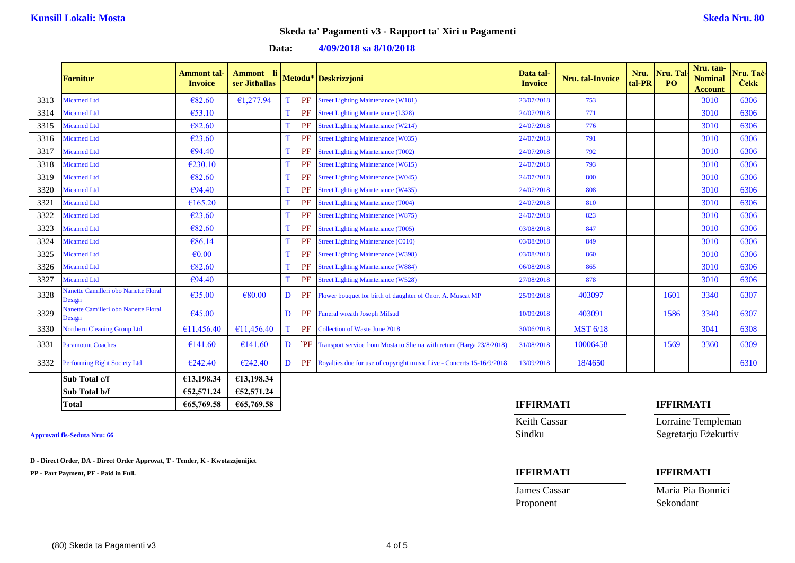**Data: 4/09/2018 sa 8/10/2018**

|      | <b>Fornitur</b>                                | <b>Ammont tal-</b><br><b>Invoice</b> | Ammont li<br>ser Jithallas |   |           | Metodu* Deskrizzjoni                                                     | Data tal-<br><b>Invoice</b> | Nru. tal-Invoice | Nru.<br>tal-PR | Nru. Tal.<br>PO | Nru. tan-<br><b>Nominal</b><br><b>Account</b> | Nru. Taċ-<br><b>Cekk</b> |
|------|------------------------------------------------|--------------------------------------|----------------------------|---|-----------|--------------------------------------------------------------------------|-----------------------------|------------------|----------------|-----------------|-----------------------------------------------|--------------------------|
| 3313 | Micamed Ltd                                    | €82.60                               | €1,277.94                  |   | PF        | <b>Street Lighting Maintenance (W181)</b>                                | 23/07/2018                  | 753              |                |                 | 3010                                          | 6306                     |
| 3314 | <b>Micamed Ltd</b>                             | €53.10                               |                            |   | PF        | <b>Street Lighting Maintenance (L328)</b>                                | 24/07/2018                  | 771              |                |                 | 3010                                          | 6306                     |
| 3315 | <b>Micamed Ltd</b>                             | €82.60                               |                            |   | PF        | <b>Street Lighting Maintenance (W214)</b>                                | 24/07/2018                  | 776              |                |                 | 3010                                          | 6306                     |
| 3316 | <b>Micamed Ltd</b>                             | €23.60                               |                            |   | PF        | <b>Street Lighting Maintenance (W035)</b>                                | 24/07/2018                  | 791              |                |                 | 3010                                          | 6306                     |
| 3317 | <b>Micamed Ltd</b>                             | €94.40                               |                            |   | PF        | <b>Street Lighting Maintenance (T002)</b>                                | 24/07/2018                  | 792              |                |                 | 3010                                          | 6306                     |
| 3318 | <b>Micamed Ltd</b>                             | €230.10                              |                            |   | PF        | <b>Street Lighting Maintenance (W615)</b>                                | 24/07/2018                  | 793              |                |                 | 3010                                          | 6306                     |
| 3319 | <b>Micamed Ltd</b>                             | €82.60                               |                            |   | PF        | <b>Street Lighting Maintenance (W045)</b>                                | 24/07/2018                  | 800              |                |                 | 3010                                          | 6306                     |
| 3320 | <b>Micamed Ltd</b>                             | €94.40                               |                            |   | PF        | <b>Street Lighting Maintenance (W435)</b>                                | 24/07/2018                  | 808              |                |                 | 3010                                          | 6306                     |
| 3321 | <b>Micamed Ltd</b>                             | €165.20                              |                            |   | PF        | <b>Street Lighting Maintenance (T004)</b>                                | 24/07/2018                  | 810              |                |                 | 3010                                          | 6306                     |
| 3322 | <b>Micamed Ltd</b>                             | €23.60                               |                            |   | PF        | <b>Street Lighting Maintenance (W875)</b>                                | 24/07/2018                  | 823              |                |                 | 3010                                          | 6306                     |
| 3323 | <b>Micamed Ltd</b>                             | €82.60                               |                            |   | PF        | <b>Street Lighting Maintenance (T005)</b>                                | 03/08/2018                  | 847              |                |                 | 3010                                          | 6306                     |
| 3324 | Micamed Ltd                                    | €86.14                               |                            |   | PF        | <b>Street Lighting Maintenance (C010)</b>                                | 03/08/2018                  | 849              |                |                 | 3010                                          | 6306                     |
| 3325 | <b>Micamed Ltd</b>                             | $\epsilon$ <sub>0.00</sub>           |                            |   | PF        | <b>Street Lighting Maintenance (W398)</b>                                | 03/08/2018                  | 860              |                |                 | 3010                                          | 6306                     |
| 3326 | <b>Micamed Ltd</b>                             | €82.60                               |                            |   | <b>PF</b> | <b>Street Lighting Maintenance (W884)</b>                                | 06/08/2018                  | 865              |                |                 | 3010                                          | 6306                     |
| 3327 | Micamed Ltd                                    | €94.40                               |                            |   | PF        | <b>Street Lighting Maintenance (W528)</b>                                | 27/08/2018                  | 878              |                |                 | 3010                                          | 6306                     |
| 3328 | Nanette Camilleri obo Nanette Floral<br>Design | €35.00                               | €80.00                     |   | PF        | Flower bouquet for birth of daughter of Onor. A. Muscat MP               | 25/09/2018                  | 403097           |                | 1601            | 3340                                          | 6307                     |
| 3329 | Nanette Camilleri obo Nanette Floral<br>Design | €45.00                               |                            |   | <b>PF</b> | <b>Funeral wreath Joseph Mifsud</b>                                      | 10/09/2018                  | 403091           |                | 1586            | 3340                                          | 6307                     |
| 3330 | <b>Northern Cleaning Group Ltd</b>             | €11,456.40                           | €11,456.40                 |   | PF        | Collection of Waste June 2018                                            | 30/06/2018                  | <b>MST 6/18</b>  |                |                 | 3041                                          | 6308                     |
| 3331 | <b>Paramount Coaches</b>                       | €141.60                              | €141.60                    | D |           | PF Transport service from Mosta to Sliema with return (Harga 23/8/2018)  | 31/08/2018                  | 10006458         |                | 1569            | 3360                                          | 6309                     |
| 3332 | <b>Performing Right Society Ltd</b>            | €242.40                              | €242.40                    | n |           | PF Royalties due for use of copyright music Live - Concerts 15-16/9/2018 | 13/09/2018                  | 18/4650          |                |                 |                                               | 6310                     |
|      | Sub Total c/f                                  | €13,198.34                           | €13,198.34                 |   |           |                                                                          |                             |                  |                |                 |                                               |                          |
|      | Sub Total b/f                                  | €52,571.24                           | €52,571.24                 |   |           |                                                                          |                             |                  |                |                 |                                               |                          |

**D - Direct Order, DA - Direct Order Approvat, T - Tender, K - Kwotazzjonijiet**

**PP - Part Payment, PF - Paid in Full. IFFIRMATI IFFIRMATI**

### **Total €65,769.58 €65,769.58 IFFIRMATI IFFIRMATI**

Proponent Sekondant

Keith Cassar **Lorraine Templeman Approvati fis-Seduta Nru: 66** Sindku Segretarju Eżekuttiv

James Cassar Maria Pia Bonnici